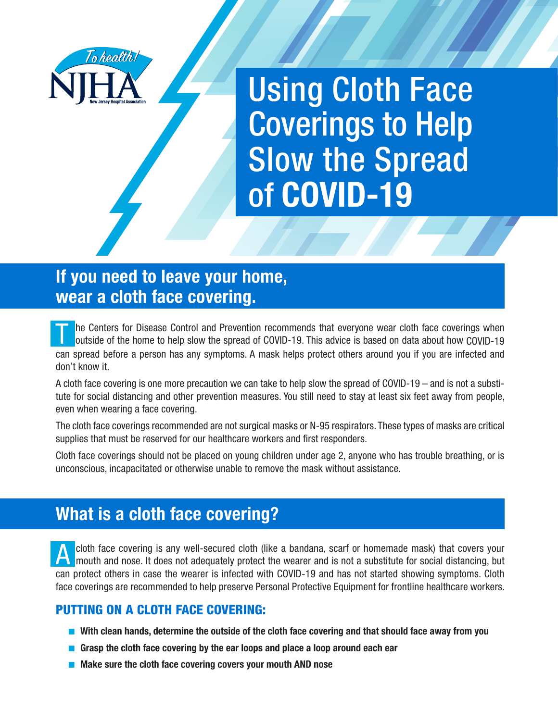

Using Cloth Face Coverings to Help Slow the Spread of **COVID-19**

## **If you need to leave your home, wear a cloth face covering.**

The Centers for Disease Control and Prevention recommends that everyone wear cloth face coverings when outside of the home to help slow the spread of COVID-19. This advice is based on data about how COVID-19 can spread before a person has any symptoms. A mask helps protect others around you if you are infected and don't know it.

A cloth face covering is one more precaution we can take to help slow the spread of COVID-19 – and is not a substitute for social distancing and other prevention measures. You still need to stay at least six feet away from people, even when wearing a face covering.

The cloth face coverings recommended are not surgical masks or N-95 respirators. These types of masks are critical supplies that must be reserved for our healthcare workers and first responders.

Cloth face coverings should not be placed on young children under age 2, anyone who has trouble breathing, or is unconscious, incapacitated or otherwise unable to remove the mask without assistance.

## **What is a cloth face covering?**

A cloth face covering is any well-secured cloth (like a bandana, scarf or homemade mask) that covers your mouth and nose. It does not adequately protect the wearer and is not a substitute for social distancing, but can protect others in case the wearer is infected with COVID-19 and has not started showing symptoms. Cloth face coverings are recommended to help preserve Personal Protective Equipment for frontline healthcare workers.

#### PUTTING ON A CLOTH FACE COVERING:

- With clean hands, determine the outside of the cloth face covering and that should face away from you
- **Grasp the cloth face covering by the ear loops and place a loop around each ear**
- Make sure the cloth face covering covers your mouth AND nose